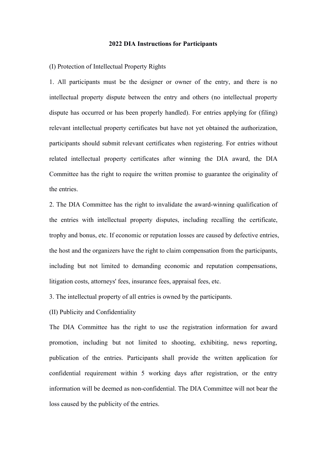## **2022 DIA Instructions for Participants**

(I) Protection of Intellectual Property Rights

1. All participants must be the designer or owner of the entry, and there is no intellectual property dispute between the entry and others (no intellectual property dispute has occurred or has been properly handled). For entries applying for (filing) relevant intellectual property certificates but have not yet obtained the authorization, participants should submit relevant certificates when registering. For entries without related intellectual property certificates after winning the DIA award, the DIA Committee has the right to require the written promise to guarantee the originality of the entries.

2. The DIA Committee has the right to invalidate the award-winning qualification of the entries with intellectual property disputes, including recalling the certificate, trophy and bonus, etc. If economic or reputation losses are caused by defective entries, the host and the organizers have the right to claim compensation from the participants, including but not limited to demanding economic and reputation compensations, litigation costs, attorneys' fees, insurance fees, appraisal fees, etc.

3. The intellectual property of all entries is owned by the participants.

(II) Publicity and Confidentiality

The DIA Committee has the right to use the registration information for award promotion, including but not limited to shooting, exhibiting, news reporting, publication of the entries. Participants shall provide the written application for confidential requirement within 5 working days after registration, or the entry information will be deemed as non-confidential. The DIA Committee will not bear the loss caused by the publicity of the entries.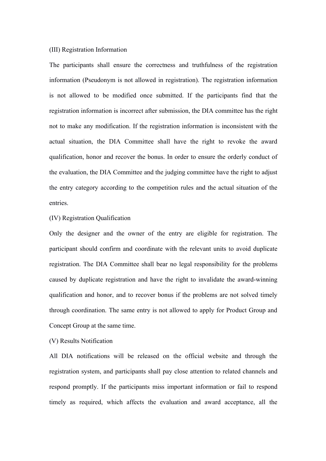## (III) Registration Information

The participants shall ensure the correctness and truthfulness of the registration information (Pseudonym is not allowed in registration). The registration information is not allowed to be modified once submitted. If the participants find that the registration information is incorrect after submission, the DIA committee has the right not to make any modification. If the registration information is inconsistent with the actual situation, the DIA Committee shall have the right to revoke the award qualification, honor and recover the bonus. In order to ensure the orderly conduct of the evaluation, the DIA Committee and the judging committee have the right to adjust the entry category according to the competition rules and the actual situation of the entries.

## (IV) Registration Qualification

Only the designer and the owner of the entry are eligible for registration. The participant should confirm and coordinate with the relevant units to avoid duplicate registration. The DIA Committee shall bear no legal responsibility for the problems caused by duplicate registration and have the right to invalidate the award-winning qualification and honor, and to recover bonus if the problems are not solved timely through coordination. The same entry is not allowed to apply for Product Group and Concept Group at the same time.

(V) Results Notification

All DIA notifications will be released on the official website and through the registration system, and participants shall pay close attention to related channels and respond promptly. If the participants miss important information or fail to respond timely as required, which affects the evaluation and award acceptance, all the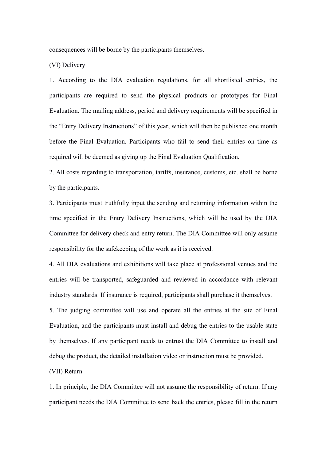consequences will be borne by the participants themselves.

## (VI) Delivery

1. According to the DIA evaluation regulations, for all shortlisted entries, the participants are required to send the physical products or prototypes for Final Evaluation. The mailing address, period and delivery requirements will be specified in the "Entry Delivery Instructions" of this year, which will then be published one month before the Final Evaluation. Participants who fail to send their entries on time as required will be deemed as giving up the Final Evaluation Qualification.

2. All costs regarding to transportation, tariffs, insurance, customs, etc. shall be borne by the participants.

3. Participants must truthfully input the sending and returning information within the time specified in the Entry Delivery Instructions, which will be used by the DIA Committee for delivery check and entry return. The DIA Committee will only assume responsibility for the safekeeping of the work as it is received.

4. All DIA evaluations and exhibitions will take place at professional venues and the entries will be transported, safeguarded and reviewed in accordance with relevant industry standards. If insurance is required, participants shall purchase it themselves.

5. The judging committee will use and operate all the entries at the site of Final Evaluation, and the participants must install and debug the entries to the usable state by themselves. If any participant needs to entrust the DIA Committee to install and debug the product, the detailed installation video or instruction must be provided.

(VII) Return

1. In principle, the DIA Committee will not assume the responsibility of return. If any participant needs the DIA Committee to send back the entries, please fill in the return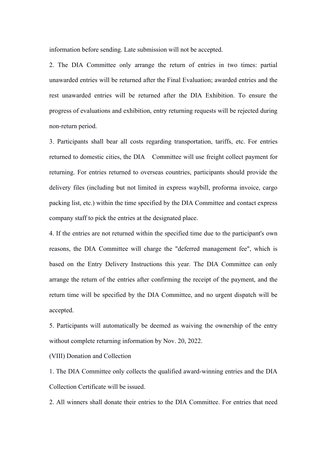information before sending.Late submission will not be accepted.

2. The DIA Committee only arrange the return of entries in two times: partial unawarded entries will be returned after the Final Evaluation; awarded entries and the rest unawarded entries will be returned after the DIA Exhibition. To ensure the progress of evaluations and exhibition, entry returning requests will be rejected during non-return period.

3. Participants shall bear all costs regarding transportation, tariffs, etc. For entries returned to domestic cities, the DIA Committee will use freight collect payment for returning. For entries returned to overseas countries, participants should provide the delivery files (including but not limited in express waybill, proforma invoice, cargo packing list, etc.) within the time specified by the DIA Committee and contact express company staff to pick the entries at the designated place.

4. If the entries are not returned within the specified time due to the participant's own reasons, the DIA Committee will charge the "deferred management fee", which is based on the Entry Delivery Instructions this year. The DIA Committee can only arrange the return of the entries after confirming the receipt of the payment, and the return time will be specified by the DIA Committee, and no urgent dispatch will be accepted.

5. Participants will automatically be deemed as waiving the ownership of the entry without complete returning information by Nov. 20, 2022.

(VIII) Donation and Collection

1. The DIA Committee only collects the qualified award-winning entries and the DIA Collection Certificate will be issued.

2. All winners shall donate their entries to the DIA Committee. For entries that need